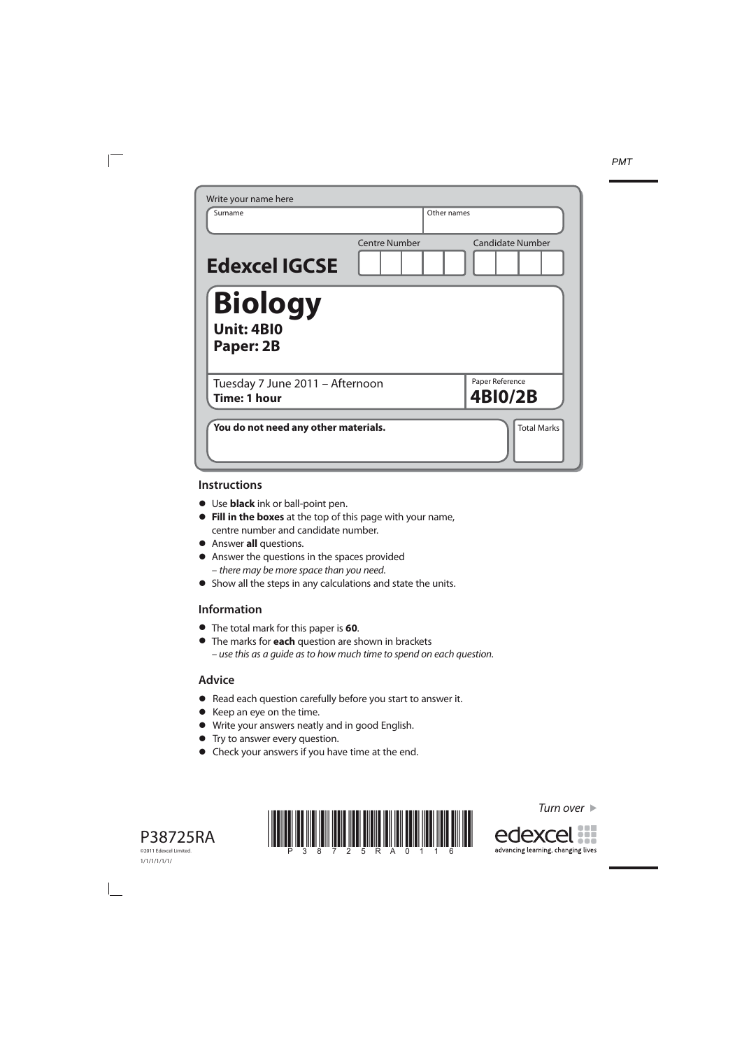| Write your name here                                   |                      |                                   |
|--------------------------------------------------------|----------------------|-----------------------------------|
| Surname                                                |                      | Other names                       |
| <b>Edexcel IGCSE</b>                                   | <b>Centre Number</b> | <b>Candidate Number</b>           |
| <b>Biology</b><br><b>Unit: 4BI0</b><br>Paper: 2B       |                      |                                   |
| Tuesday 7 June 2011 - Afternoon<br><b>Time: 1 hour</b> |                      | Paper Reference<br><b>4BI0/2B</b> |
| You do not need any other materials.                   |                      | <b>Total Marks</b>                |

#### **Instructions**

- **•** Use **black** ink or ball-point pen.
- **• Fill in the boxes** at the top of this page with your name, centre number and candidate number.
- **•** Answer **all** questions.
- **•** Answer the questions in the spaces provided – there may be more space than you need.
- **•** Show all the steps in any calculations and state the units.

# **Information**

- **•** The total mark for this paper is **60**.
- **•** The marks for **each** question are shown in brackets – use this as a guide as to how much time to spend on each question.

# **Advice**

- **•** Read each question carefully before you start to answer it.
- **•** Keep an eye on the time.
- **•** Write your answers neatly and in good English.
- **•** Try to answer every question.
- **•** Check your answers if you have time at the end.





Turn over  $\blacktriangleright$ 

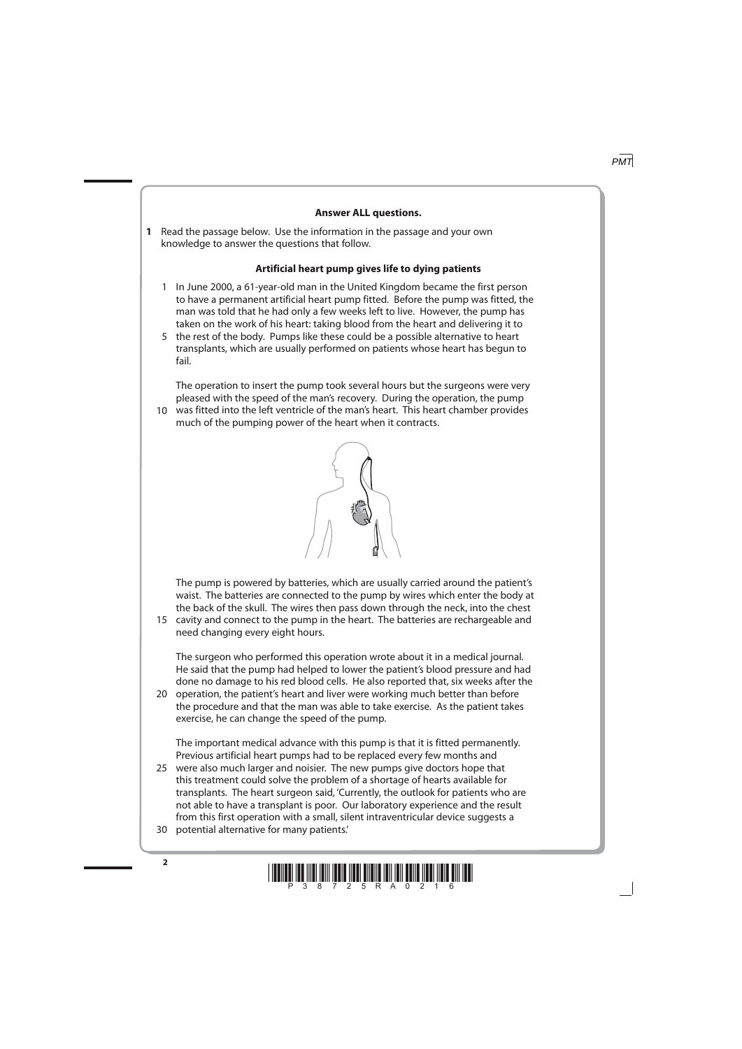#### **Answer ALL questions.**

**1** Read the passage below. Use the information in the passage and your own knowledge to answer the questions that follow.

### **Artificial heart pump gives life to dying patients**

- In June 2000, a 61-year-old man in the United Kingdom became the first person 1 to have a permanent artificial heart pump fitted. Before the pump was fitted, the man was told that he had only a few weeks left to live. However, the pump has taken on the work of his heart: taking blood from the heart and delivering it to
	- 5 the rest of the body. Pumps like these could be a possible alternative to heart transplants, which are usually performed on patients whose heart has begun to fail.

 The operation to insert the pump took several hours but the surgeons were very pleased with the speed of the man's recovery. During the operation, the pump

10 was fitted into the left ventricle of the man's heart. This heart chamber provides much of the pumping power of the heart when it contracts.



 The pump is powered by batteries, which are usually carried around the patient's waist. The batteries are connected to the pump by wires which enter the body at the back of the skull. The wires then pass down through the neck, into the chest

15 cavity and connect to the pump in the heart. The batteries are rechargeable and need changing every eight hours.

 The surgeon who performed this operation wrote about it in a medical journal. He said that the pump had helped to lower the patient's blood pressure and had done no damage to his red blood cells. He also reported that, six weeks after the

20 operation, the patient's heart and liver were working much better than before the procedure and that the man was able to take exercise. As the patient takes exercise, he can change the speed of the pump.

 The important medical advance with this pump is that it is fitted permanently. Previous artificial heart pumps had to be replaced every few months and

- 25 were also much larger and noisier. The new pumps give doctors hope that this treatment could solve the problem of a shortage of hearts available for transplants. The heart surgeon said, 'Currently, the outlook for patients who are not able to have a transplant is poor. Our laboratory experience and the result from this first operation with a small, silent intraventricular device suggests a
- 30 potential alternative for many patients.

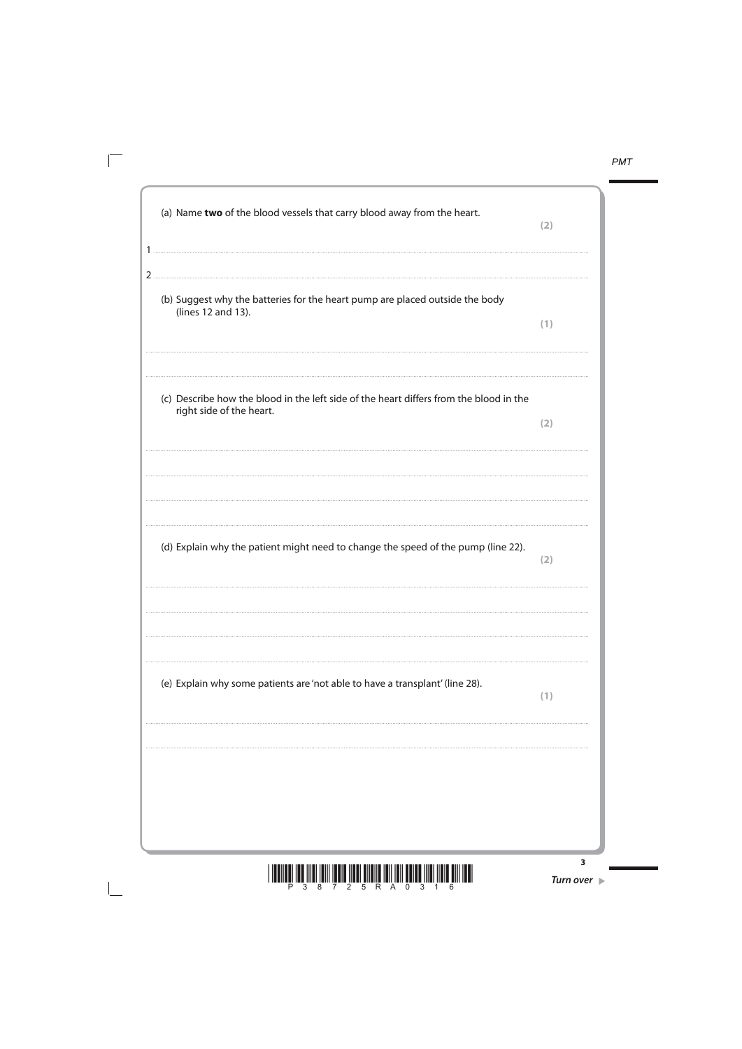|                                                                                                                    | 3<br><b>Turn over</b> |
|--------------------------------------------------------------------------------------------------------------------|-----------------------|
|                                                                                                                    |                       |
| (e) Explain why some patients are 'not able to have a transplant' (line 28).                                       | (1)                   |
|                                                                                                                    |                       |
| (d) Explain why the patient might need to change the speed of the pump (line 22).                                  | (2)                   |
| (c) Describe how the blood in the left side of the heart differs from the blood in the<br>right side of the heart. | (2)                   |
| 2<br>(b) Suggest why the batteries for the heart pump are placed outside the body<br>(lines 12 and 13).            | (1)                   |
| (a) Name two of the blood vessels that carry blood away from the heart.                                            | (2)                   |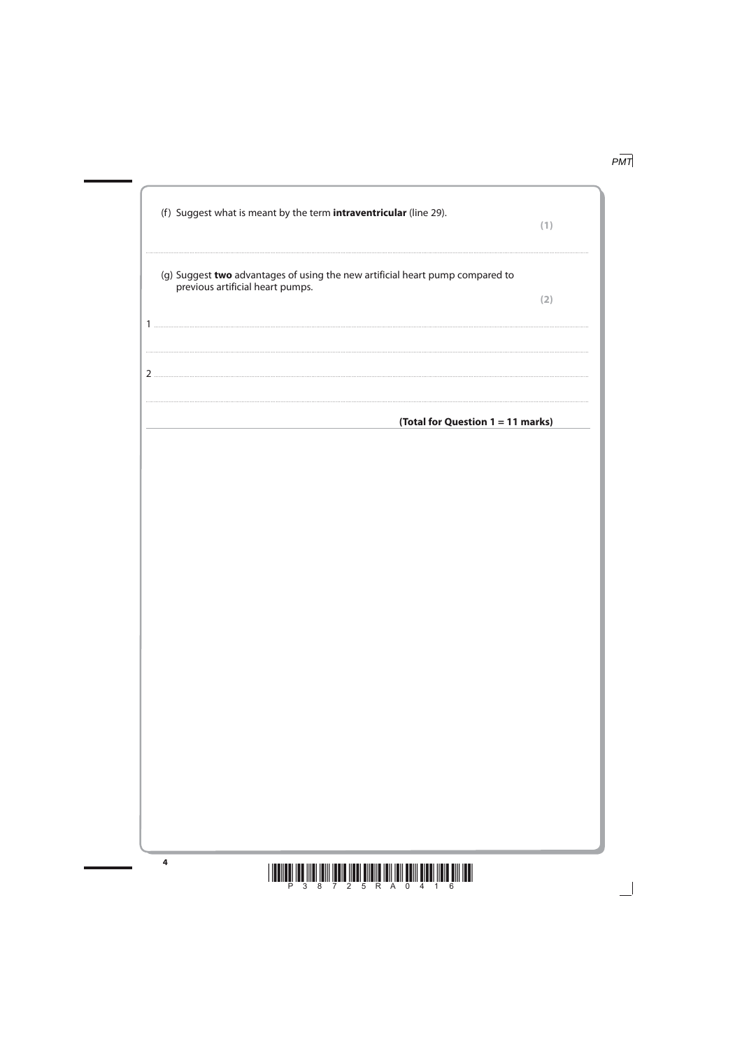| (f) Suggest what is meant by the term <i>intraventricular</i> (line 29).                                          | (1) |
|-------------------------------------------------------------------------------------------------------------------|-----|
| (g) Suggest two advantages of using the new artificial heart pump compared to<br>previous artificial heart pumps. | (2) |
|                                                                                                                   |     |
|                                                                                                                   |     |
| (Total for Question 1 = 11 marks)                                                                                 |     |
|                                                                                                                   |     |
|                                                                                                                   |     |
|                                                                                                                   |     |
|                                                                                                                   |     |
|                                                                                                                   |     |
|                                                                                                                   |     |
|                                                                                                                   |     |
|                                                                                                                   |     |
|                                                                                                                   |     |
|                                                                                                                   |     |
| 4<br><u>i indiran ind ilidi idili idale ilah dilalih tali idil dali dida ilidi dili idad.</u>                     |     |

ł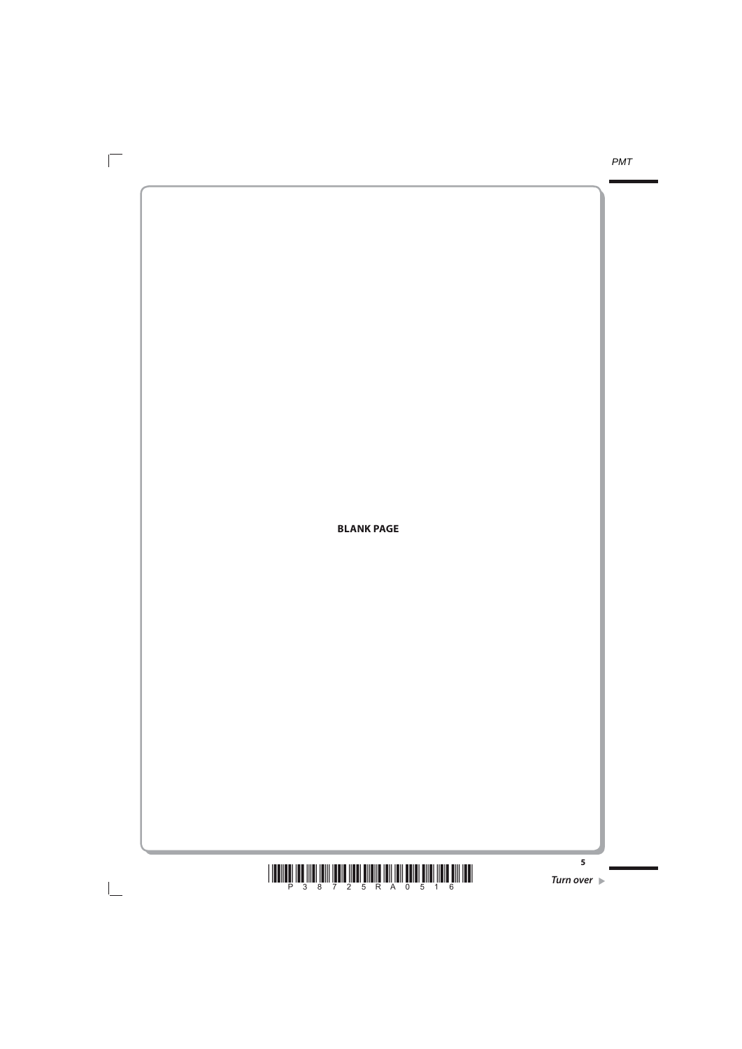**BLANK PAGE**

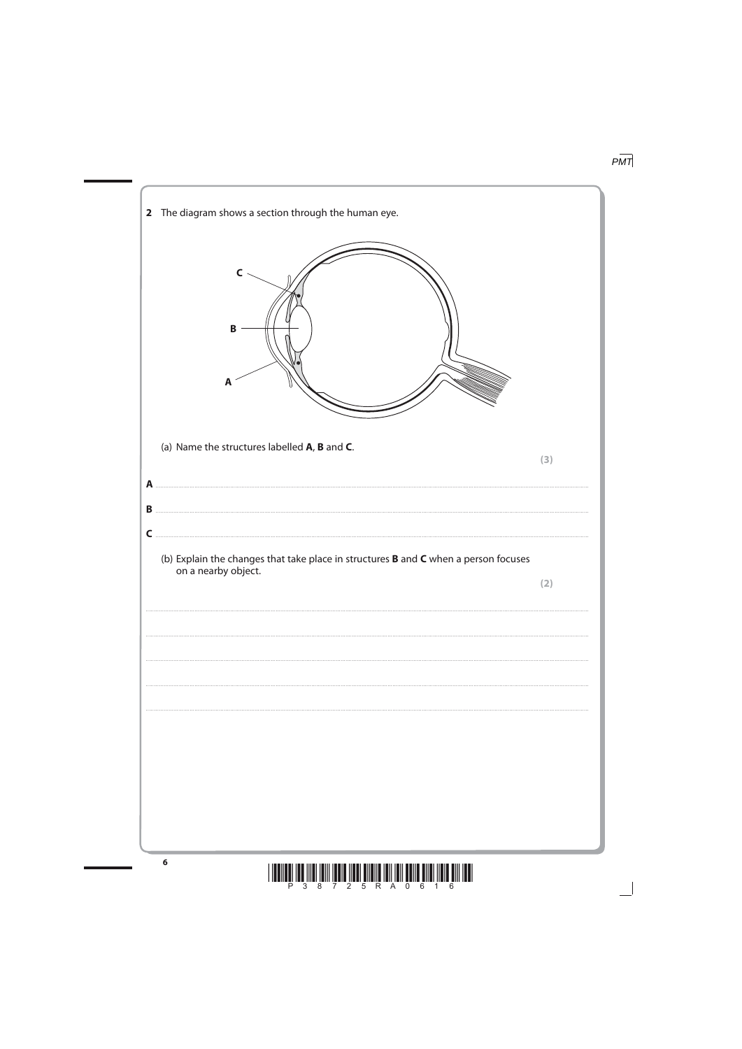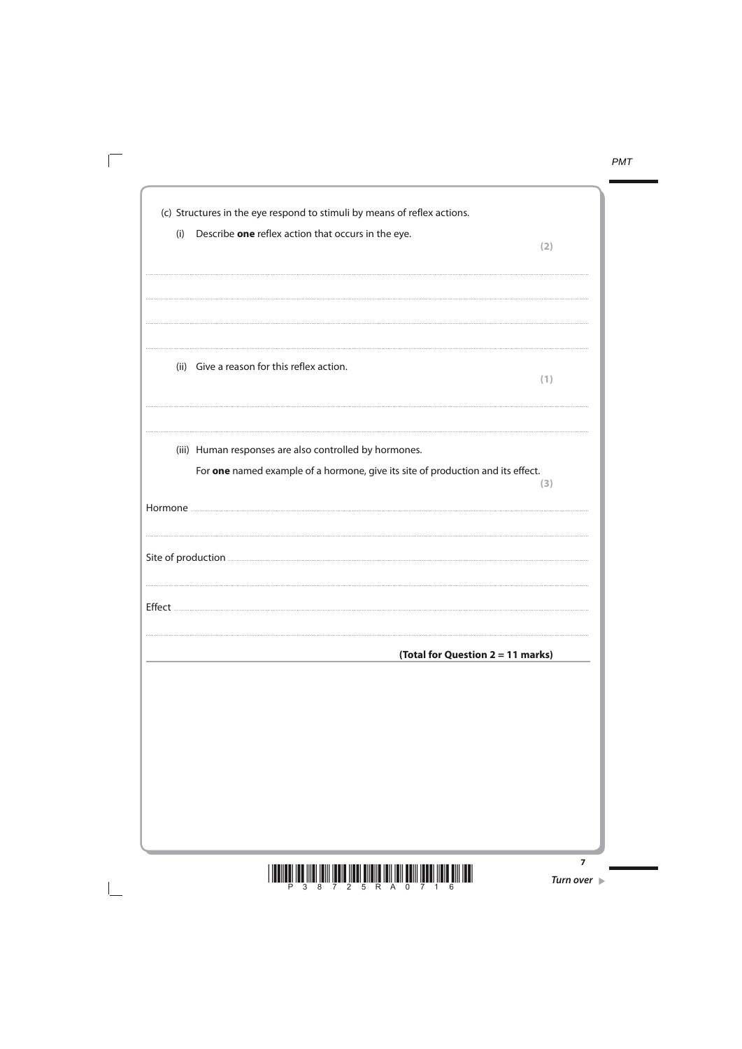|        | (i) Describe one reflex action that occurs in the eye.                          | (2) |
|--------|---------------------------------------------------------------------------------|-----|
|        |                                                                                 |     |
|        | (ii) Give a reason for this reflex action.                                      | (1) |
|        | (iii) Human responses are also controlled by hormones.                          |     |
|        | For one named example of a hormone, give its site of production and its effect. | (3) |
|        |                                                                                 |     |
|        |                                                                                 |     |
| Effect |                                                                                 |     |
|        |                                                                                 |     |
|        | (Total for Question 2 = 11 marks)                                               |     |
|        |                                                                                 |     |
|        |                                                                                 |     |
|        |                                                                                 |     |
|        |                                                                                 |     |
|        |                                                                                 |     |
|        |                                                                                 |     |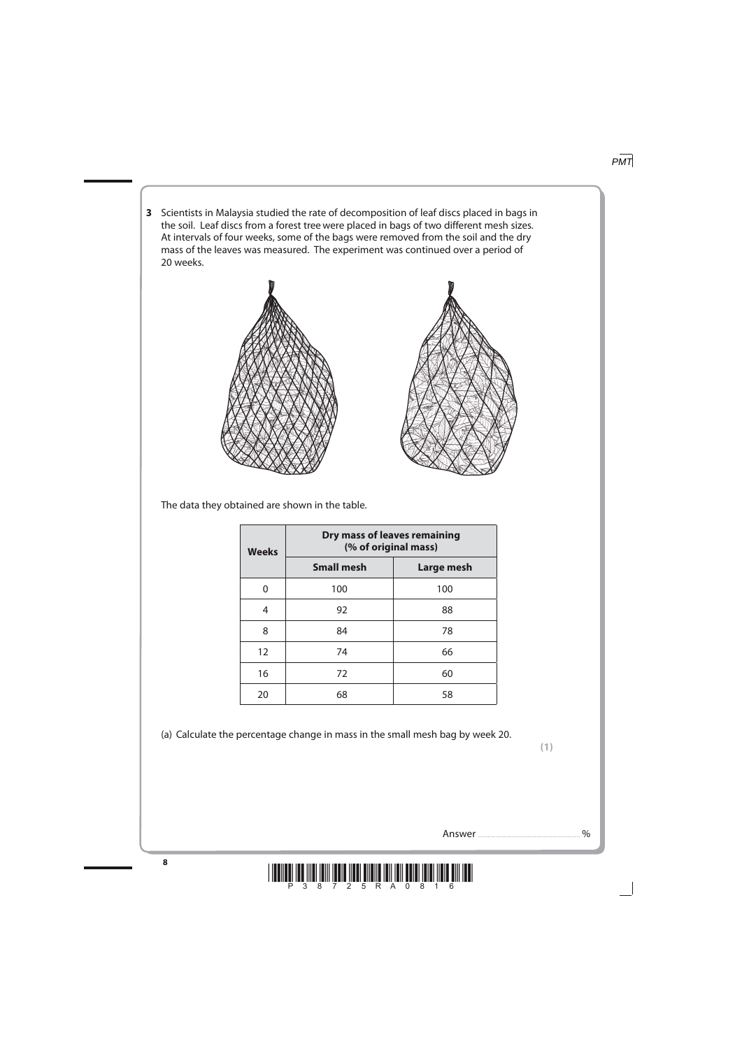**3** Scientists in Malaysia studied the rate of decomposition of leaf discs placed in bags in the soil. Leaf discs from a forest tree were placed in bags of two different mesh sizes. At intervals of four weeks, some of the bags were removed from the soil and the dry mass of the leaves was measured. The experiment was continued over a period of 20 weeks.





The data they obtained are shown in the table.

| <b>Weeks</b> | <b>Dry mass of leaves remaining</b><br>(% of original mass) |            |  |  |
|--------------|-------------------------------------------------------------|------------|--|--|
|              | <b>Small mesh</b>                                           | Large mesh |  |  |
| O            | 100                                                         | 100        |  |  |
| 4            | 92                                                          | 88         |  |  |
| 8            | 84                                                          | 78         |  |  |
| 12           | 74                                                          | 66         |  |  |
| 16           | 72                                                          | 60         |  |  |
| 20           | 68                                                          | 58         |  |  |

(a) Calculate the percentage change in mass in the small mesh bag by week 20.

**(1)**

Answer ............................................................... %

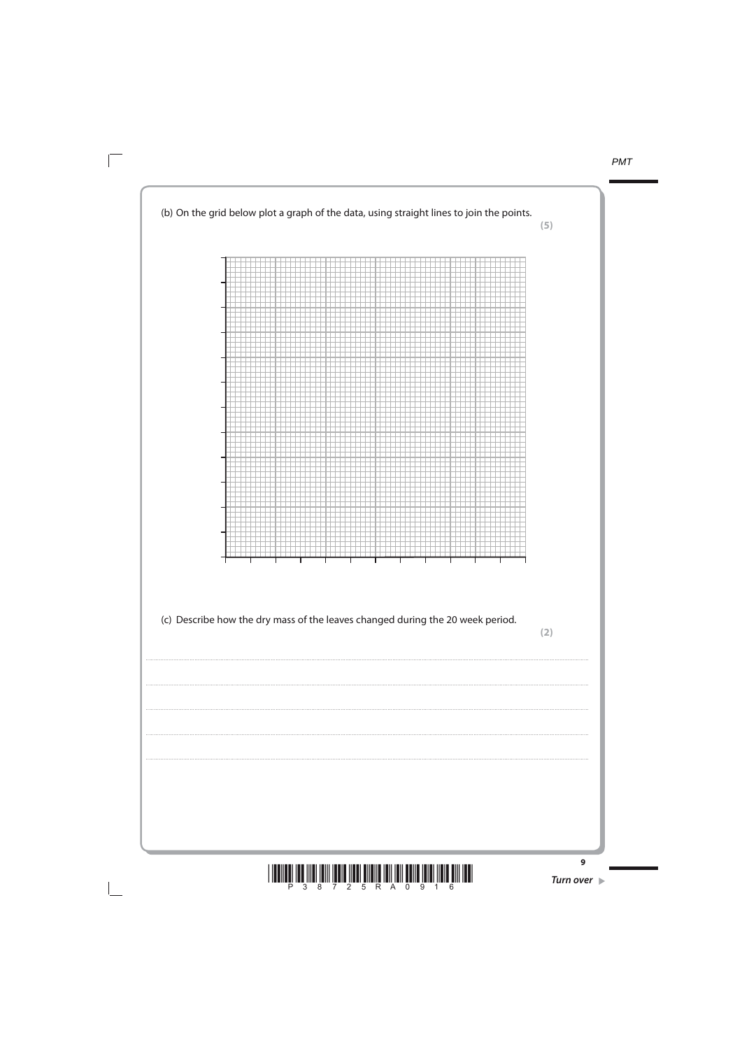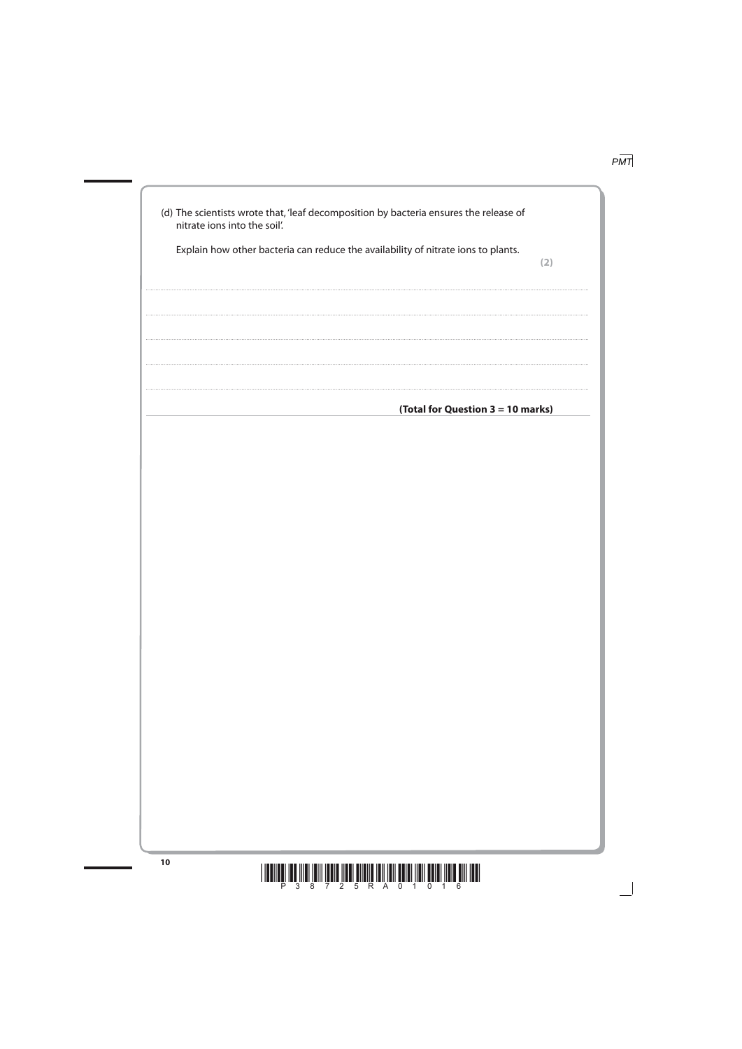| Explain how other bacteria can reduce the availability of nitrate ions to plants. |                                   |     |
|-----------------------------------------------------------------------------------|-----------------------------------|-----|
|                                                                                   |                                   | (2) |
|                                                                                   |                                   |     |
|                                                                                   |                                   |     |
|                                                                                   |                                   |     |
|                                                                                   |                                   |     |
|                                                                                   |                                   |     |
|                                                                                   |                                   |     |
|                                                                                   |                                   |     |
|                                                                                   |                                   |     |
|                                                                                   | (Total for Question 3 = 10 marks) |     |
|                                                                                   |                                   |     |
|                                                                                   |                                   |     |
|                                                                                   |                                   |     |
|                                                                                   |                                   |     |
|                                                                                   |                                   |     |
|                                                                                   |                                   |     |
|                                                                                   |                                   |     |
|                                                                                   |                                   |     |
|                                                                                   |                                   |     |
|                                                                                   |                                   |     |
|                                                                                   |                                   |     |
|                                                                                   |                                   |     |
|                                                                                   |                                   |     |
|                                                                                   |                                   |     |
|                                                                                   |                                   |     |
|                                                                                   |                                   |     |
|                                                                                   |                                   |     |
|                                                                                   |                                   |     |
|                                                                                   |                                   |     |
|                                                                                   |                                   |     |
|                                                                                   |                                   |     |
|                                                                                   |                                   |     |
|                                                                                   |                                   |     |
|                                                                                   |                                   |     |
|                                                                                   |                                   |     |
|                                                                                   |                                   |     |

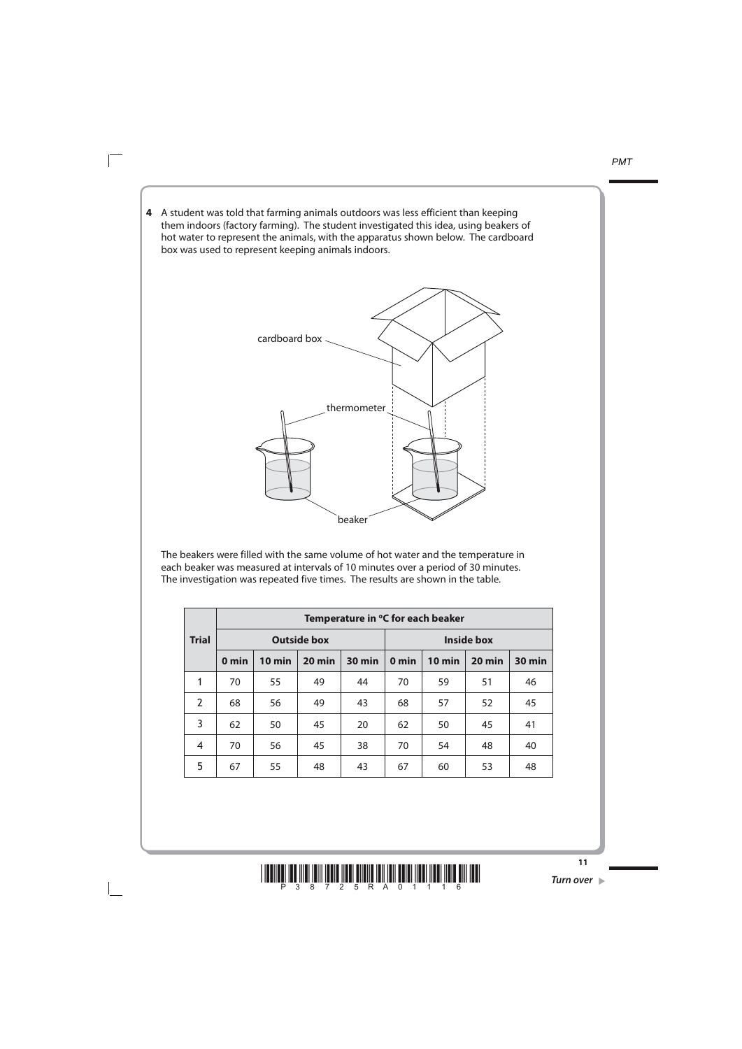**4** A student was told that farming animals outdoors was less efficient than keeping them indoors (factory farming). The student investigated this idea, using beakers of hot water to represent the animals, with the apparatus shown below. The cardboard box was used to represent keeping animals indoors.



 The beakers were filled with the same volume of hot water and the temperature in each beaker was measured at intervals of 10 minutes over a period of 30 minutes. The investigation was repeated five times. The results are shown in the table.

|                                    | Temperature in <sup>o</sup> C for each beaker |                   |        |               |                  |          |        |               |
|------------------------------------|-----------------------------------------------|-------------------|--------|---------------|------------------|----------|--------|---------------|
| <b>Trial</b><br><b>Outside box</b> |                                               | <b>Inside box</b> |        |               |                  |          |        |               |
|                                    | 0 min                                         | $10$ min          | 20 min | <b>30 min</b> | 0 <sub>min</sub> | $10$ min | 20 min | <b>30 min</b> |
| 1                                  | 70                                            | 55                | 49     | 44            | 70               | 59       | 51     | 46            |
| $\overline{2}$                     | 68                                            | 56                | 49     | 43            | 68               | 57       | 52     | 45            |
| 3                                  | 62                                            | 50                | 45     | 20            | 62               | 50       | 45     | 41            |
| $\overline{4}$                     | 70                                            | 56                | 45     | 38            | 70               | 54       | 48     | 40            |
| 5                                  | 67                                            | 55                | 48     | 43            | 67               | 60       | 53     | 48            |

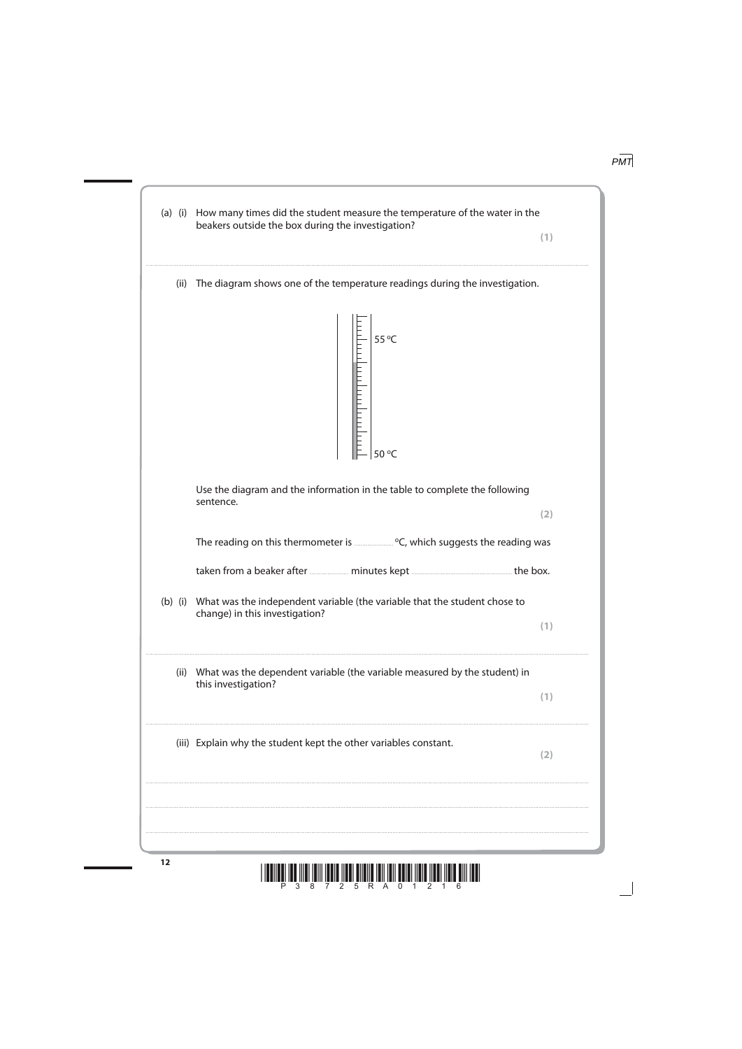| (a) (i) How many times did the student measure the temperature of the water in the<br>beakers outside the box during the investigation?                                                                                                                                                                                                                                                                                                                                 | (1) |
|-------------------------------------------------------------------------------------------------------------------------------------------------------------------------------------------------------------------------------------------------------------------------------------------------------------------------------------------------------------------------------------------------------------------------------------------------------------------------|-----|
| (ii) The diagram shows one of the temperature readings during the investigation.                                                                                                                                                                                                                                                                                                                                                                                        |     |
| $\begin{array}{c c c c c} \hline \rule{0pt}{2ex} & & & & & & & & \\ \hline \rule{0pt}{2ex} & & & & & & & \\ \hline \rule{0pt}{2ex} & & & & & & & \\ \hline \rule{0pt}{2ex} & & & & & & & \\ \hline \rule{0pt}{2ex} & & & & & & & \\ \hline \rule{0pt}{2ex} & & & & & & & \\ \hline \rule{0pt}{2ex} & & & & & & & \\ \hline \rule{0pt}{2ex} & & & & & & & \\ \hline \rule{0pt}{2ex} & & & & & & & \\ \hline \rule{0pt}{2ex} & & & & & & & \\ \hline \$<br>$50^{\circ}$ C |     |
| Use the diagram and the information in the table to complete the following<br>sentence.                                                                                                                                                                                                                                                                                                                                                                                 | (2) |
| The reading on this thermometer is  °C, which suggests the reading was                                                                                                                                                                                                                                                                                                                                                                                                  |     |
|                                                                                                                                                                                                                                                                                                                                                                                                                                                                         |     |
| (b) (i) What was the independent variable (the variable that the student chose to<br>change) in this investigation?                                                                                                                                                                                                                                                                                                                                                     |     |
|                                                                                                                                                                                                                                                                                                                                                                                                                                                                         | (1) |
| (ii) What was the dependent variable (the variable measured by the student) in<br>this investigation?                                                                                                                                                                                                                                                                                                                                                                   | (1) |
| (iii) Explain why the student kept the other variables constant.                                                                                                                                                                                                                                                                                                                                                                                                        | (2) |
|                                                                                                                                                                                                                                                                                                                                                                                                                                                                         |     |

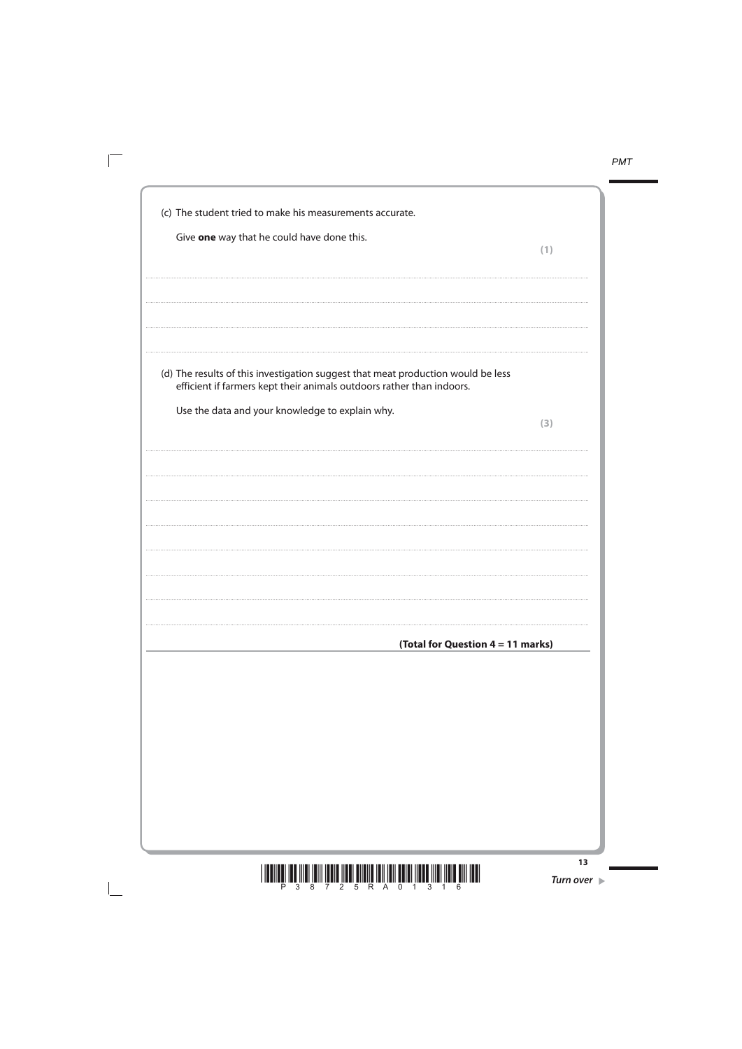| Give one way that he could have done this.                                                                                                                |     |
|-----------------------------------------------------------------------------------------------------------------------------------------------------------|-----|
|                                                                                                                                                           | (1) |
|                                                                                                                                                           |     |
|                                                                                                                                                           |     |
|                                                                                                                                                           |     |
|                                                                                                                                                           |     |
| (d) The results of this investigation suggest that meat production would be less<br>efficient if farmers kept their animals outdoors rather than indoors. |     |
| Use the data and your knowledge to explain why.                                                                                                           |     |
|                                                                                                                                                           | (3) |
|                                                                                                                                                           |     |
|                                                                                                                                                           |     |
|                                                                                                                                                           |     |
|                                                                                                                                                           |     |
|                                                                                                                                                           |     |
|                                                                                                                                                           |     |
|                                                                                                                                                           |     |
|                                                                                                                                                           |     |
| (Total for Question 4 = 11 marks)                                                                                                                         |     |
|                                                                                                                                                           |     |
|                                                                                                                                                           |     |
|                                                                                                                                                           |     |
|                                                                                                                                                           |     |
|                                                                                                                                                           |     |
|                                                                                                                                                           |     |
|                                                                                                                                                           |     |
|                                                                                                                                                           |     |
|                                                                                                                                                           |     |
|                                                                                                                                                           |     |

1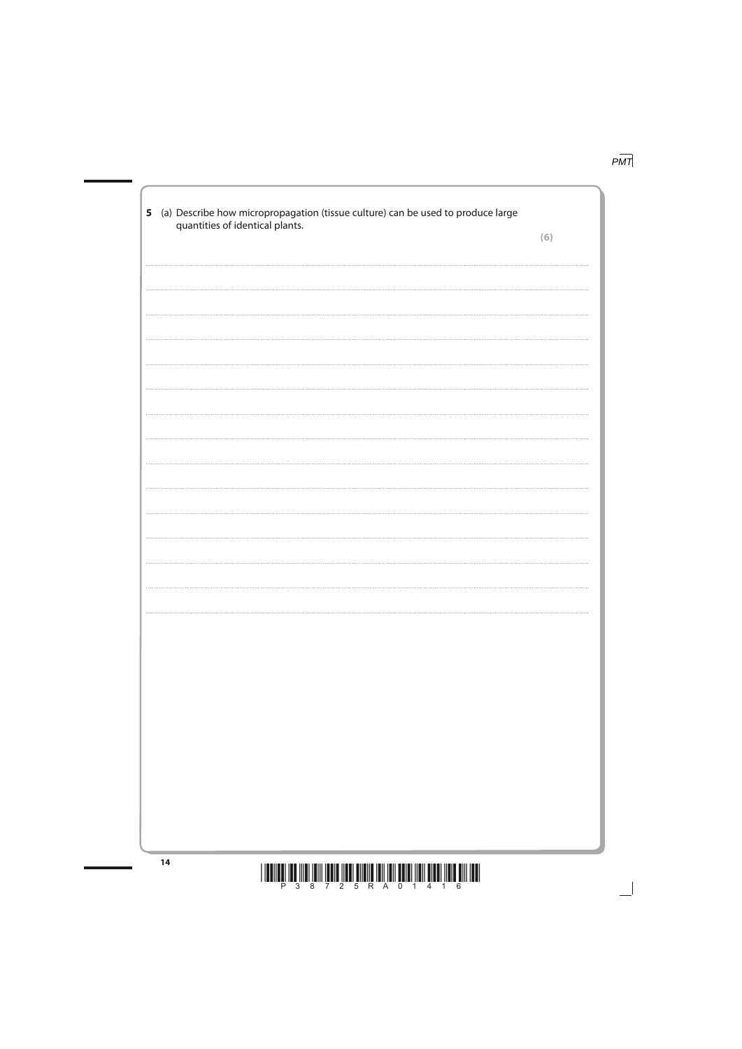| (a) Describe how micropropagation (tissue culture) can be used to produce large<br>5 <sub>5</sub><br>quantities of identical plants. |     |
|--------------------------------------------------------------------------------------------------------------------------------------|-----|
|                                                                                                                                      | (6) |
|                                                                                                                                      |     |
|                                                                                                                                      |     |
|                                                                                                                                      |     |
|                                                                                                                                      |     |
|                                                                                                                                      |     |
|                                                                                                                                      |     |
|                                                                                                                                      |     |
|                                                                                                                                      |     |
|                                                                                                                                      |     |
|                                                                                                                                      |     |
|                                                                                                                                      |     |
|                                                                                                                                      |     |
|                                                                                                                                      |     |
|                                                                                                                                      |     |
|                                                                                                                                      |     |
|                                                                                                                                      |     |
|                                                                                                                                      |     |
|                                                                                                                                      |     |
|                                                                                                                                      |     |
|                                                                                                                                      |     |
|                                                                                                                                      |     |
|                                                                                                                                      |     |
|                                                                                                                                      |     |
|                                                                                                                                      |     |
|                                                                                                                                      |     |
|                                                                                                                                      |     |
| 14                                                                                                                                   |     |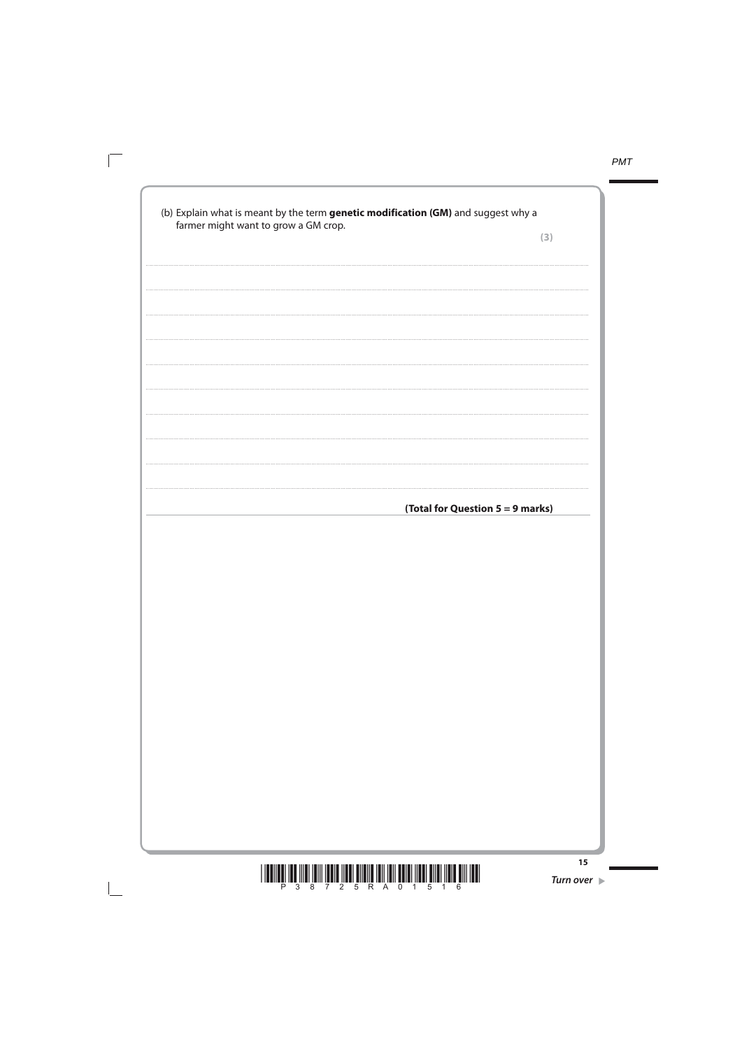| (b) Explain what is meant by the term genetic modification (GM) and suggest why a<br>farmer might want to grow a GM crop. |                        |
|---------------------------------------------------------------------------------------------------------------------------|------------------------|
|                                                                                                                           | (3)                    |
|                                                                                                                           |                        |
|                                                                                                                           |                        |
|                                                                                                                           |                        |
|                                                                                                                           |                        |
|                                                                                                                           |                        |
|                                                                                                                           |                        |
|                                                                                                                           |                        |
|                                                                                                                           |                        |
|                                                                                                                           |                        |
|                                                                                                                           |                        |
|                                                                                                                           |                        |
|                                                                                                                           |                        |
| (Total for Question 5 = 9 marks)                                                                                          |                        |
|                                                                                                                           |                        |
|                                                                                                                           |                        |
|                                                                                                                           |                        |
|                                                                                                                           |                        |
|                                                                                                                           |                        |
|                                                                                                                           |                        |
|                                                                                                                           |                        |
|                                                                                                                           |                        |
|                                                                                                                           |                        |
|                                                                                                                           |                        |
|                                                                                                                           |                        |
|                                                                                                                           |                        |
|                                                                                                                           |                        |
|                                                                                                                           |                        |
|                                                                                                                           |                        |
|                                                                                                                           |                        |
|                                                                                                                           | 15<br><b>Turn over</b> |
|                                                                                                                           |                        |